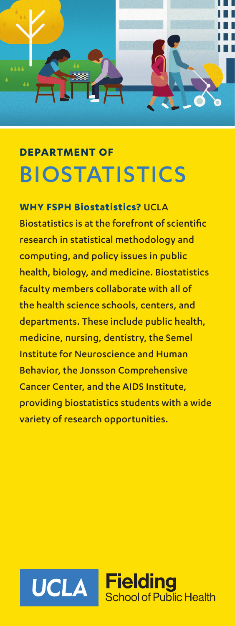

# **DEPARTMENT OF** BIOSTATISTICS

**WHY FSPH Biostatistics?** UCLA Biostatistics is at the forefront of scientific research in statistical methodology and computing, and policy issues in public health, biology, and medicine. Biostatistics faculty members collaborate with all of the health science schools, centers, and departments. These include public health, medicine, nursing, dentistry, the Semel Institute for Neuroscience and Human Behavior, the Jonsson Comprehensive Cancer Center, and the AIDS Institute, providing biostatistics students with a wide variety of research opportunities.